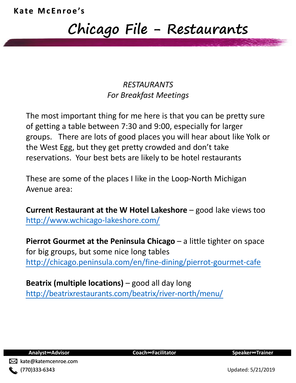### **Chicago File - Restaurants**

### *RESTAURANTS For Breakfast Meetings*

The most important thing for me here is that you can be pretty sure of getting a table between 7:30 and 9:00, especially for larger groups. There are lots of good places you will hear about like Yolk or the West Egg, but they get pretty crowded and don't take reservations. Your best bets are likely to be hotel restaurants

These are some of the places I like in the Loop-North Michigan Avenue area:

**Current Restaurant at the W Hotel Lakeshore** – good lake views too <http://www.wchicago-lakeshore.com/>

**Pierrot Gourmet at the Peninsula Chicago** – a little tighter on space for big groups, but some nice long tables <http://chicago.peninsula.com/en/fine-dining/pierrot-gourmet-cafe>

**Beatrix (multiple locations)** – good all day long http://beatrixrestaurants.com/beatrix/river-north/menu/



**Analyst∞Advisor Coach∞Facilitator Speaker∞Trainer**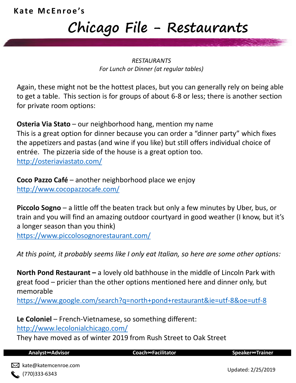### **Kate McEnroe's**

# **Chicago File - Restaurants**

#### *RESTAURANTS For Lunch or Dinner (at regular tables)*

Again, these might not be the hottest places, but you can generally rely on being able to get a table. This section is for groups of about 6-8 or less; there is another section for private room options:

**Osteria Via Stato** – our neighborhood hang, mention my name This is a great option for dinner because you can order a "dinner party" which fixes the appetizers and pastas (and wine if you like) but still offers individual choice of entrée. The pizzeria side of the house is a great option too. <http://osteriaviastato.com/>

**Coco Pazzo Café** – another neighborhood place we enjoy <http://www.cocopazzocafe.com/>

**Piccolo Sogno** – a little off the beaten track but only a few minutes by Uber, bus, or train and you will find an amazing outdoor courtyard in good weather (I know, but it's a longer season than you think) <https://www.piccolosognorestaurant.com/>

*At this point, it probably seems like I only eat Italian, so here are some other options:*

**North Pond Restaurant –** a lovely old bathhouse in the middle of Lincoln Park with great food – pricier than the other options mentioned here and dinner only, but memorable

<https://www.google.com/search?q=north+pond+restaurant&ie=utf-8&oe=utf-8>

**Le Coloniel** – French-Vietnamese, so something different:

<http://www.lecolonialchicago.com/>

They have moved as of winter 2019 from Rush Street to Oak Street

**Analyst∞Advisor Coach∞Facilitator Speaker∞Trainer**

Updated: 2/25/2019 kate@katemcenroe.com  $(770)333-6343$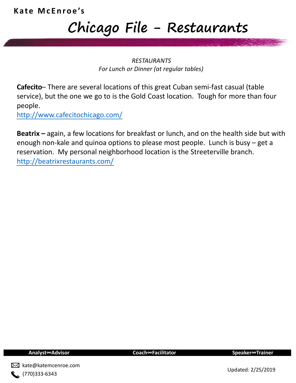## **Chicago File - Restaurants**

#### *RESTAURANTS For Lunch or Dinner (at regular tables)*

**Cafecito**– There are several locations of this great Cuban semi-fast casual (table service), but the one we go to is the Gold Coast location. Tough for more than four people.

<http://www.cafecitochicago.com/>

**Beatrix –** again, a few locations for breakfast or lunch, and on the health side but with enough non-kale and quinoa options to please most people. Lunch is busy – get a reservation. My personal neighborhood location is the Streeterville branch. <http://beatrixrestaurants.com/>